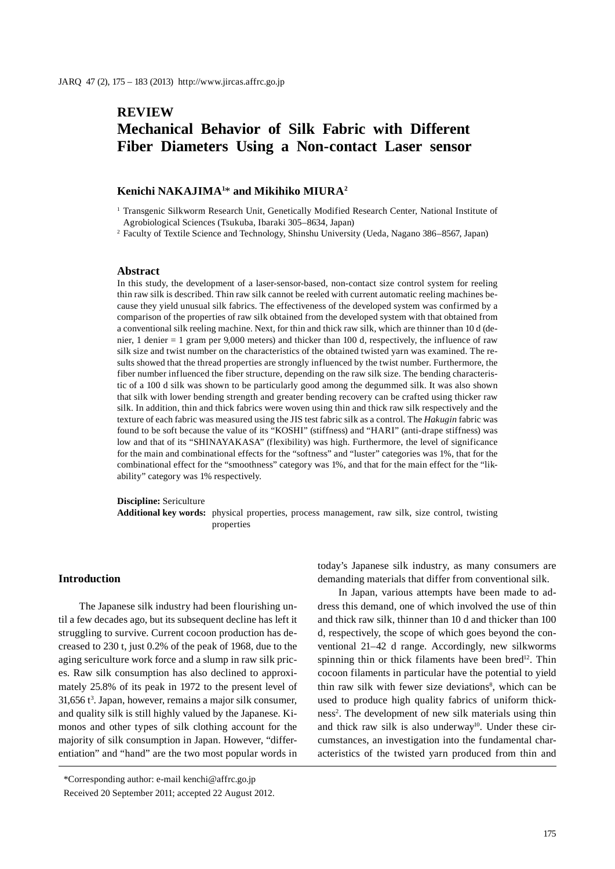# **REVIEW Mechanical Behavior of Silk Fabric with Different Fiber Diameters Using a Non-contact Laser sensor**

#### **Kenichi NAKAJIMA1** \* **and Mikihiko MIURA2**

1 Transgenic Silkworm Research Unit, Genetically Modified Research Center, National Institute of Agrobiological Sciences (Tsukuba, Ibaraki 305–8634, Japan)

2 Faculty of Textile Science and Technology, Shinshu University (Ueda, Nagano 386–8567, Japan)

#### **Abstract**

In this study, the development of a laser-sensor-based, non-contact size control system for reeling thin raw silk is described. Thin raw silk cannot be reeled with current automatic reeling machines because they yield unusual silk fabrics. The effectiveness of the developed system was confirmed by a comparison of the properties of raw silk obtained from the developed system with that obtained from a conventional silk reeling machine. Next, for thin and thick raw silk, which are thinner than 10 d (denier, 1 denier = 1 gram per 9,000 meters) and thicker than 100 d, respectively, the influence of raw silk size and twist number on the characteristics of the obtained twisted yarn was examined. The results showed that the thread properties are strongly influenced by the twist number. Furthermore, the fiber number influenced the fiber structure, depending on the raw silk size. The bending characteristic of a 100 d silk was shown to be particularly good among the degummed silk. It was also shown that silk with lower bending strength and greater bending recovery can be crafted using thicker raw silk. In addition, thin and thick fabrics were woven using thin and thick raw silk respectively and the texture of each fabric was measured using the JIS test fabric silk as a control. The *Hakugin* fabric was found to be soft because the value of its "KOSHI" (stiffness) and "HARI" (anti-drape stiffness) was low and that of its "SHINAYAKASA" (flexibility) was high. Furthermore, the level of significance for the main and combinational effects for the "softness" and "luster" categories was 1%, that for the combinational effect for the "smoothness" category was 1%, and that for the main effect for the "likability" category was 1% respectively.

**Discipline:** Sericulture

**Additional key words:** physical properties, process management, raw silk, size control, twisting properties

#### **Introduction**

The Japanese silk industry had been flourishing until a few decades ago, but its subsequent decline has left it struggling to survive. Current cocoon production has decreased to 230 t, just 0.2% of the peak of 1968, due to the aging sericulture work force and a slump in raw silk prices. Raw silk consumption has also declined to approximately 25.8% of its peak in 1972 to the present level of  $31,656$  t<sup>3</sup>. Japan, however, remains a major silk consumer, and quality silk is still highly valued by the Japanese. Kimonos and other types of silk clothing account for the majority of silk consumption in Japan. However, "differentiation" and "hand" are the two most popular words in

today's Japanese silk industry, as many consumers are demanding materials that differ from conventional silk.

In Japan, various attempts have been made to address this demand, one of which involved the use of thin and thick raw silk, thinner than 10 d and thicker than 100 d, respectively, the scope of which goes beyond the conventional 21–42 d range. Accordingly, new silkworms spinning thin or thick filaments have been bred<sup>12</sup>. Thin cocoon filaments in particular have the potential to yield thin raw silk with fewer size deviations<sup>8</sup>, which can be used to produce high quality fabrics of uniform thickness<sup>2</sup>. The development of new silk materials using thin and thick raw silk is also underway<sup>10</sup>. Under these circumstances, an investigation into the fundamental characteristics of the twisted yarn produced from thin and

<sup>\*</sup>Corresponding author: e-mail kenchi@affrc.go.jp

Received 20 September 2011; accepted 22 August 2012.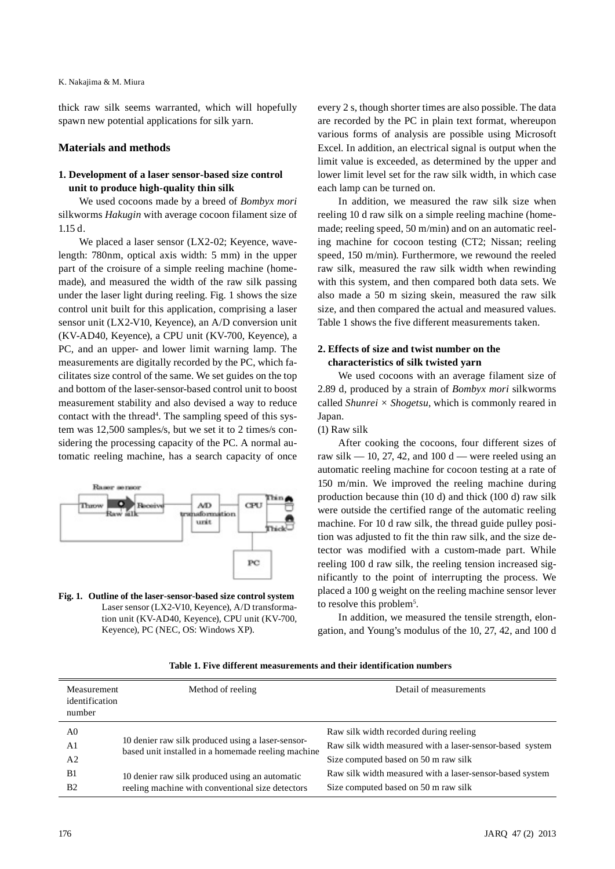thick raw silk seems warranted, which will hopefully spawn new potential applications for silk yarn.

#### **Materials and methods**

# **1. Development of a laser sensor-based size control unit to produce high-quality thin silk**

We used cocoons made by a breed of *Bombyx mori* silkworms *Hakugin* with average cocoon filament size of 1.15 d.

We placed a laser sensor (LX2-02; Keyence, wavelength: 780nm, optical axis width: 5 mm) in the upper part of the croisure of a simple reeling machine (homemade), and measured the width of the raw silk passing under the laser light during reeling. Fig. 1 shows the size control unit built for this application, comprising a laser sensor unit (LX2-V10, Keyence), an A/D conversion unit (KV-AD40, Keyence), a CPU unit (KV-700, Keyence), a PC, and an upper- and lower limit warning lamp. The measurements are digitally recorded by the PC, which facilitates size control of the same. We set guides on the top and bottom of the laser-sensor-based control unit to boost measurement stability and also devised a way to reduce contact with the thread<sup>4</sup>. The sampling speed of this system was 12,500 samples/s, but we set it to 2 times/s considering the processing capacity of the PC. A normal automatic reeling machine, has a search capacity of once



**Fig. 1. Outline of the laser-sensor-based size control system** Laser sensor (LX2-V10, Keyence), A/D transformation unit (KV-AD40, Keyence), CPU unit (KV-700, Keyence), PC (NEC, OS: Windows XP).

every 2 s, though shorter times are also possible. The data are recorded by the PC in plain text format, whereupon various forms of analysis are possible using Microsoft Excel. In addition, an electrical signal is output when the limit value is exceeded, as determined by the upper and lower limit level set for the raw silk width, in which case each lamp can be turned on.

In addition, we measured the raw silk size when reeling 10 d raw silk on a simple reeling machine (homemade; reeling speed, 50 m/min) and on an automatic reeling machine for cocoon testing (CT2; Nissan; reeling speed, 150 m/min). Furthermore, we rewound the reeled raw silk, measured the raw silk width when rewinding with this system, and then compared both data sets. We also made a 50 m sizing skein, measured the raw silk size, and then compared the actual and measured values. Table 1 shows the five different measurements taken.

# **2. Effects of size and twist number on the characteristics of silk twisted yarn**

We used cocoons with an average filament size of 2.89 d, produced by a strain of *Bombyx mori* silkworms called *Shunrei × Shogetsu*, which is commonly reared in Japan.

### (1) Raw silk

After cooking the cocoons, four different sizes of raw silk  $-10$ , 27, 42, and 100 d — were reeled using an automatic reeling machine for cocoon testing at a rate of 150 m/min. We improved the reeling machine during production because thin (10 d) and thick (100 d) raw silk were outside the certified range of the automatic reeling machine. For 10 d raw silk, the thread guide pulley position was adjusted to fit the thin raw silk, and the size detector was modified with a custom-made part. While reeling 100 d raw silk, the reeling tension increased significantly to the point of interrupting the process. We placed a 100 g weight on the reeling machine sensor lever to resolve this problem<sup>5</sup>.

In addition, we measured the tensile strength, elongation, and Young's modulus of the 10, 27, 42, and 100 d

| Table 1. Five different measurements and their identification numbers |  |
|-----------------------------------------------------------------------|--|
|-----------------------------------------------------------------------|--|

| Measurement<br>identification<br>number | Method of reeling                                                                                       | Detail of measurements                                   |
|-----------------------------------------|---------------------------------------------------------------------------------------------------------|----------------------------------------------------------|
| A0                                      |                                                                                                         | Raw silk width recorded during reeling                   |
| A1                                      | 10 denier raw silk produced using a laser-sensor-<br>based unit installed in a homemade reeling machine | Raw silk width measured with a laser-sensor-based system |
| A <sub>2</sub>                          |                                                                                                         | Size computed based on 50 m raw silk                     |
| B1                                      | 10 denier raw silk produced using an automatic                                                          | Raw silk width measured with a laser-sensor-based system |
| <b>B2</b>                               | reeling machine with conventional size detectors                                                        | Size computed based on 50 m raw silk                     |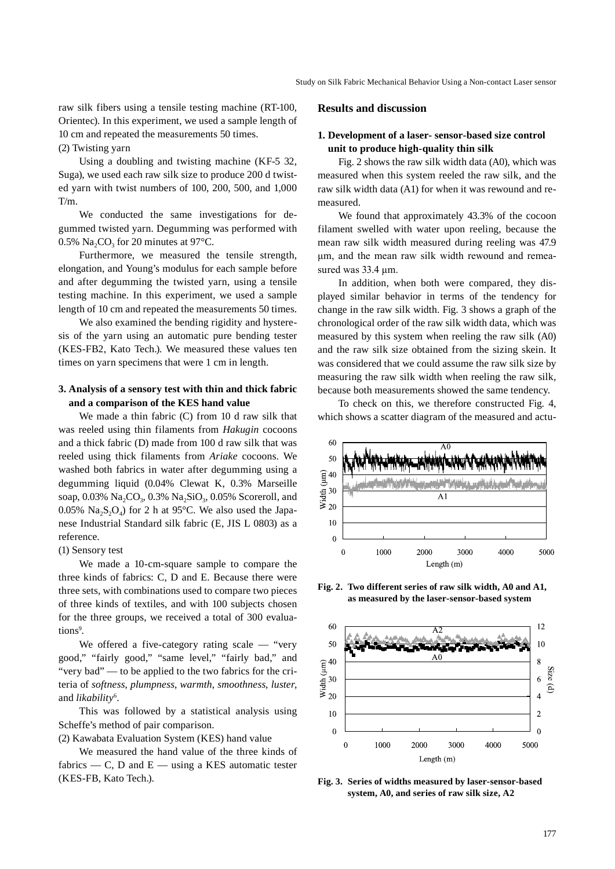raw silk fibers using a tensile testing machine (RT-100, Orientec). In this experiment, we used a sample length of 10 cm and repeated the measurements 50 times. (2) Twisting yarn

Using a doubling and twisting machine (KF-5 32, Suga), we used each raw silk size to produce 200 d twisted yarn with twist numbers of 100, 200, 500, and 1,000 T/m.

We conducted the same investigations for degummed twisted yarn. Degumming was performed with 0.5% Na<sub>2</sub>CO<sub>3</sub> for 20 minutes at 97 $^{\circ}$ C.

Furthermore, we measured the tensile strength, elongation, and Young's modulus for each sample before and after degumming the twisted yarn, using a tensile testing machine. In this experiment, we used a sample length of 10 cm and repeated the measurements 50 times.

We also examined the bending rigidity and hysteresis of the yarn using an automatic pure bending tester (KES-FB2, Kato Tech.). We measured these values ten times on yarn specimens that were 1 cm in length.

# **3. Analysis of a sensory test with thin and thick fabric and a comparison of the KES hand value**

We made a thin fabric (C) from 10 d raw silk that was reeled using thin filaments from *Hakugin* cocoons and a thick fabric (D) made from 100 d raw silk that was reeled using thick filaments from *Ariake* cocoons. We washed both fabrics in water after degumming using a degumming liquid (0.04% Clewat K, 0.3% Marseille soap,  $0.03\%$  Na<sub>2</sub>CO<sub>3</sub>,  $0.3\%$  Na<sub>2</sub>SiO<sub>3</sub>,  $0.05\%$  Scoreroll, and 0.05%  $Na_2S_2O_4$ ) for 2 h at 95°C. We also used the Japanese Industrial Standard silk fabric (E, JIS L 0803) as a reference.

#### (1) Sensory test

We made a 10-cm-square sample to compare the three kinds of fabrics: C, D and E. Because there were three sets, with combinations used to compare two pieces of three kinds of textiles, and with 100 subjects chosen for the three groups, we received a total of 300 evaluations<sup>9</sup>.

We offered a five-category rating scale — "very good," "fairly good," "same level," "fairly bad," and "very bad" — to be applied to the two fabrics for the criteria of *softness*, *plumpness*, *warmth*, *smoothness*, *luster*, and *likability*<sup>6</sup> .

This was followed by a statistical analysis using Scheffe's method of pair comparison.

(2) Kawabata Evaluation System (KES) hand value

We measured the hand value of the three kinds of fabrics — C, D and  $E$  — using a KES automatic tester (KES-FB, Kato Tech.).

#### **Results and discussion**

# **1. Development of a laser- sensor-based size control unit to produce high-quality thin silk**

Fig. 2 shows the raw silk width data (A0), which was measured when this system reeled the raw silk, and the raw silk width data (A1) for when it was rewound and remeasured.

We found that approximately 43.3% of the cocoon filament swelled with water upon reeling, because the mean raw silk width measured during reeling was 47.9 μm, and the mean raw silk width rewound and remeasured was 33.4 μm.

In addition, when both were compared, they displayed similar behavior in terms of the tendency for change in the raw silk width. Fig. 3 shows a graph of the chronological order of the raw silk width data, which was measured by this system when reeling the raw silk (A0) and the raw silk size obtained from the sizing skein. It was considered that we could assume the raw silk size by measuring the raw silk width when reeling the raw silk, because both measurements showed the same tendency.

To check on this, we therefore constructed Fig. 4, which shows a scatter diagram of the measured and actu-



**Fig. 2. Two different series of raw silk width, A0 and A1, as measured by the laser-sensor-based system**



**Fig. 3. Series of widths measured by laser-sensor-based system, A0, and series of raw silk size, A2**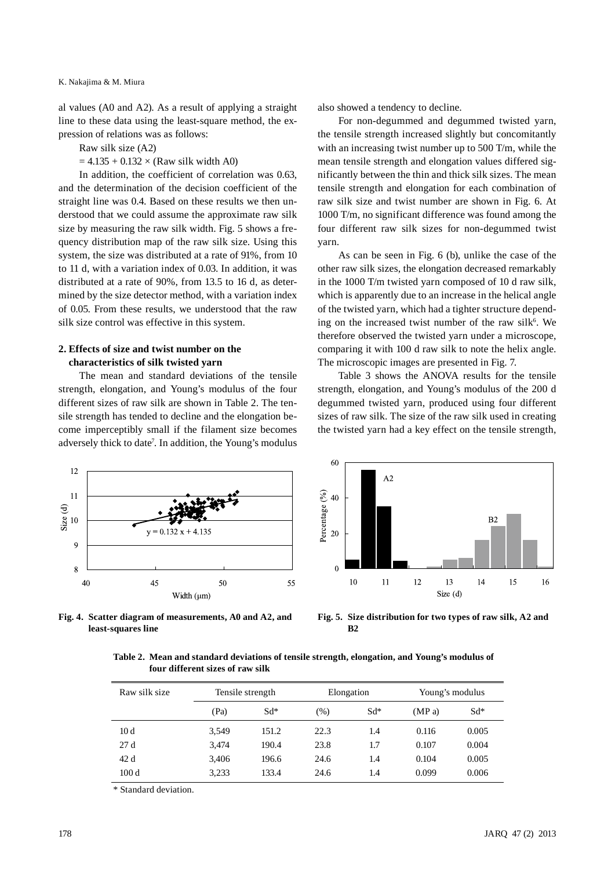K. Nakajima & M. Miura

al values (A0 and A2). As a result of applying a straight line to these data using the least-square method, the expression of relations was as follows:

Raw silk size (A2)

 $= 4.135 + 0.132 \times (Raw silk width A0)$ 

In addition, the coefficient of correlation was 0.63, and the determination of the decision coefficient of the straight line was 0.4. Based on these results we then understood that we could assume the approximate raw silk size by measuring the raw silk width. Fig. 5 shows a frequency distribution map of the raw silk size. Using this system, the size was distributed at a rate of 91%, from 10 to 11 d, with a variation index of 0.03. In addition, it was distributed at a rate of 90%, from 13.5 to 16 d, as determined by the size detector method, with a variation index of 0.05. From these results, we understood that the raw silk size control was effective in this system.

#### **2. Effects of size and twist number on the characteristics of silk twisted yarn**

The mean and standard deviations of the tensile strength, elongation, and Young's modulus of the four different sizes of raw silk are shown in Table 2. The tensile strength has tended to decline and the elongation become imperceptibly small if the filament size becomes adversely thick to date<sup>7</sup>. In addition, the Young's modulus also showed a tendency to decline.

For non-degummed and degummed twisted yarn, the tensile strength increased slightly but concomitantly with an increasing twist number up to 500 T/m, while the mean tensile strength and elongation values differed significantly between the thin and thick silk sizes. The mean tensile strength and elongation for each combination of raw silk size and twist number are shown in Fig. 6. At 1000 T/m, no significant difference was found among the four different raw silk sizes for non-degummed twist yarn.

As can be seen in Fig. 6 (b), unlike the case of the other raw silk sizes, the elongation decreased remarkably in the 1000 T/m twisted yarn composed of 10 d raw silk, which is apparently due to an increase in the helical angle of the twisted yarn, which had a tighter structure depending on the increased twist number of the raw silk<sup>6</sup>. We therefore observed the twisted yarn under a microscope, comparing it with 100 d raw silk to note the helix angle. The microscopic images are presented in Fig. 7.

Table 3 shows the ANOVA results for the tensile strength, elongation, and Young's modulus of the 200 d degummed twisted yarn, produced using four different sizes of raw silk. The size of the raw silk used in creating the twisted yarn had a key effect on the tensile strength,



**Fig. 4. Scatter diagram of measurements, A0 and A2, and least-squares line**



**Fig. 5. Size distribution for two types of raw silk, A2 and B2**

| Table 2. Mean and standard deviations of tensile strength, elongation, and Young's modulus of |  |  |  |
|-----------------------------------------------------------------------------------------------|--|--|--|
| four different sizes of raw silk                                                              |  |  |  |

| Raw silk size | Tensile strength |        | Elongation       |     | Young's modulus |        |
|---------------|------------------|--------|------------------|-----|-----------------|--------|
|               | (Pa)             | $Sd^*$ | $Sd^*$<br>$(\%)$ |     | (MP a)          | $Sd^*$ |
| 10d           | 3.549            | 151.2  | 22.3             | 1.4 | 0.116           | 0.005  |
| 27d           | 3.474            | 190.4  | 23.8             | 1.7 | 0.107           | 0.004  |
| 42d           | 3.406            | 196.6  | 24.6             | 1.4 | 0.104           | 0.005  |
| 100d          | 3,233            | 133.4  | 24.6             | 1.4 | 0.099           | 0.006  |

\* Standard deviation.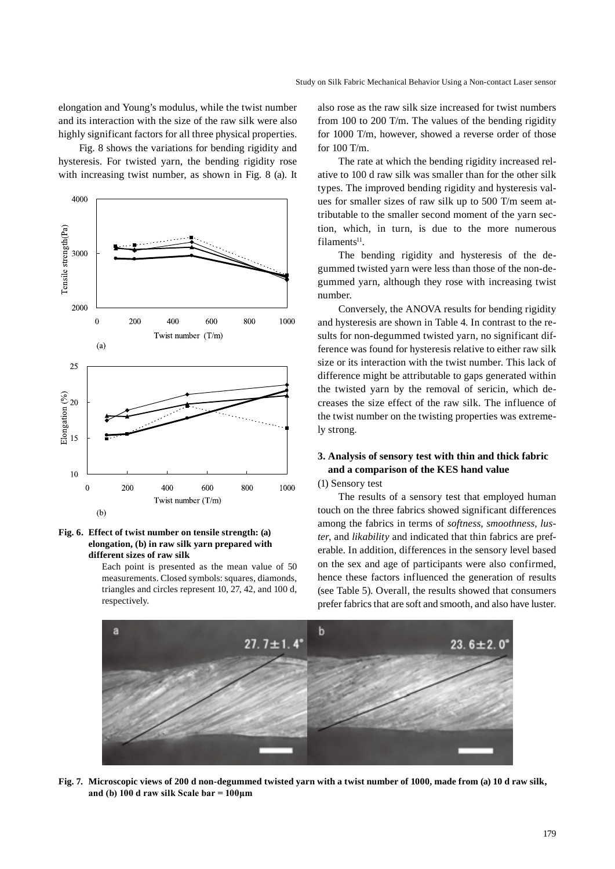elongation and Young's modulus, while the twist number and its interaction with the size of the raw silk were also highly significant factors for all three physical properties.

Fig. 8 shows the variations for bending rigidity and hysteresis. For twisted yarn, the bending rigidity rose with increasing twist number, as shown in Fig. 8 (a). It



#### **Fig. 6. Effect of twist number on tensile strength: (a) elongation, (b) in raw silk yarn prepared with different sizes of raw silk**

Each point is presented as the mean value of 50 measurements. Closed symbols: squares, diamonds, triangles and circles represent 10, 27, 42, and 100 d, respectively.

also rose as the raw silk size increased for twist numbers from 100 to 200 T/m. The values of the bending rigidity for 1000 T/m, however, showed a reverse order of those for 100 T/m.

The rate at which the bending rigidity increased relative to 100 d raw silk was smaller than for the other silk types. The improved bending rigidity and hysteresis values for smaller sizes of raw silk up to 500 T/m seem attributable to the smaller second moment of the yarn section, which, in turn, is due to the more numerous  $filaments<sup>11</sup>$ .

The bending rigidity and hysteresis of the degummed twisted yarn were less than those of the non-degummed yarn, although they rose with increasing twist number.

Conversely, the ANOVA results for bending rigidity and hysteresis are shown in Table 4. In contrast to the results for non-degummed twisted yarn, no significant difference was found for hysteresis relative to either raw silk size or its interaction with the twist number. This lack of difference might be attributable to gaps generated within the twisted yarn by the removal of sericin, which decreases the size effect of the raw silk. The influence of the twist number on the twisting properties was extremely strong.

# **3. Analysis of sensory test with thin and thick fabric and a comparison of the KES hand value**

## (1) Sensory test

The results of a sensory test that employed human touch on the three fabrics showed significant differences among the fabrics in terms of *softness*, *smoothness*, *luster*, and *likability* and indicated that thin fabrics are preferable. In addition, differences in the sensory level based on the sex and age of participants were also confirmed, hence these factors influenced the generation of results (see Table 5). Overall, the results showed that consumers prefer fabrics that are soft and smooth, and also have luster.



**Fig. 7. Microscopic views of 200 d non-degummed twisted yarn with a twist number of 1000, made from (a) 10 d raw silk, and (b) 100 d raw silk Scale bar = 100μm**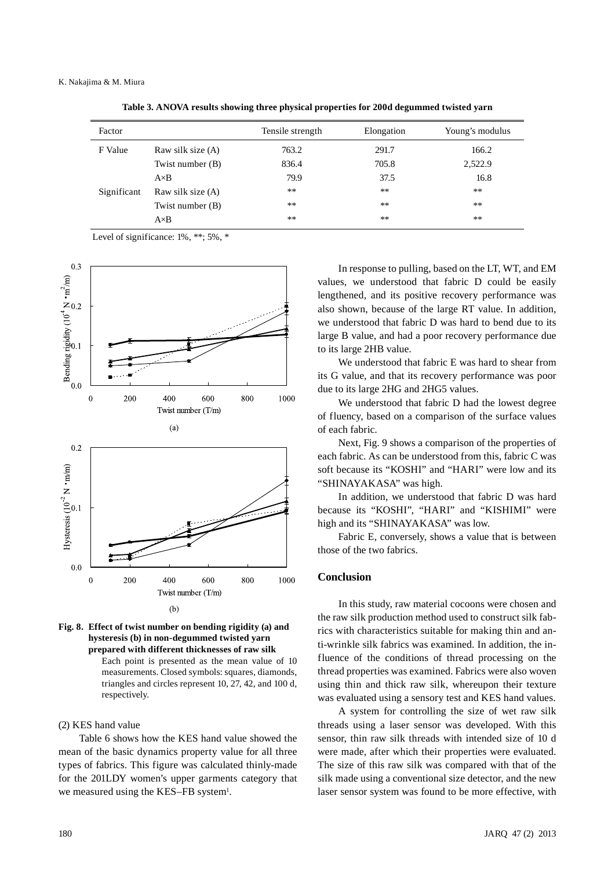| Factor      |                   | Tensile strength | Elongation | Young's modulus |
|-------------|-------------------|------------------|------------|-----------------|
| F Value     | Raw silk size (A) | 763.2            | 291.7      | 166.2           |
|             | Twist number (B)  | 836.4            | 705.8      | 2,522.9         |
|             | $A \times B$      | 79.9             | 37.5       | 16.8            |
| Significant | Raw silk size (A) | **               | $***$      | **              |
|             | Twist number (B)  | $**$             | $***$      | $***$           |
|             | $A \times B$      | **               | **         | **              |
|             |                   |                  |            |                 |

**Table 3. ANOVA results showing three physical properties for 200d degummed twisted yarn**

Level of significance: 1%, \*\*; 5%, \*





#### (2) KES hand value

Table 6 shows how the KES hand value showed the mean of the basic dynamics property value for all three types of fabrics. This figure was calculated thinly-made for the 201LDY women's upper garments category that we measured using the KES-FB system<sup>1</sup>.

In response to pulling, based on the LT, WT, and EM values, we understood that fabric D could be easily lengthened, and its positive recovery performance was also shown, because of the large RT value. In addition, we understood that fabric D was hard to bend due to its large B value, and had a poor recovery performance due to its large 2HB value.

We understood that fabric E was hard to shear from its G value, and that its recovery performance was poor due to its large 2HG and 2HG5 values.

We understood that fabric D had the lowest degree of fluency, based on a comparison of the surface values of each fabric.

Next, Fig. 9 shows a comparison of the properties of each fabric. As can be understood from this, fabric C was soft because its "KOSHI" and "HARI" were low and its "SHINAYAKASA" was high.

In addition, we understood that fabric D was hard because its "KOSHI", "HARI" and "KISHIMI" were high and its "SHINAYAKASA" was low.

Fabric E, conversely, shows a value that is between those of the two fabrics.

#### **Conclusion**

In this study, raw material cocoons were chosen and the raw silk production method used to construct silk fabrics with characteristics suitable for making thin and anti-wrinkle silk fabrics was examined. In addition, the influence of the conditions of thread processing on the thread properties was examined. Fabrics were also woven using thin and thick raw silk, whereupon their texture was evaluated using a sensory test and KES hand values.

A system for controlling the size of wet raw silk threads using a laser sensor was developed. With this sensor, thin raw silk threads with intended size of 10 d were made, after which their properties were evaluated. The size of this raw silk was compared with that of the silk made using a conventional size detector, and the new laser sensor system was found to be more effective, with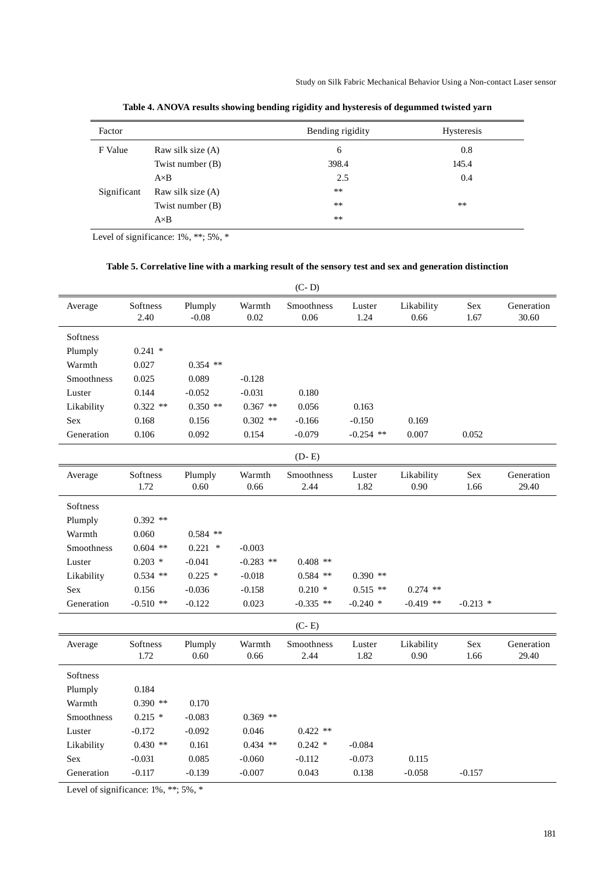| Factor      |                   | Bending rigidity | Hysteresis |
|-------------|-------------------|------------------|------------|
| F Value     | Raw silk size (A) | 6                | 0.8        |
|             | Twist number (B)  | 398.4            | 145.4      |
|             | $A \times B$      | 2.5              | 0.4        |
| Significant | Raw silk size (A) | **               |            |
|             | Twist number (B)  | **               | **         |
|             | $A \times B$      | $***$            |            |

**Table 4. ANOVA results showing bending rigidity and hysteresis of degummed twisted yarn**

Level of significance: 1%, \*\*; 5%, \*

# **Table 5. Correlative line with a marking result of the sensory test and sex and generation distinction**

|            | $(C-D)$          |                    |                |                    |                |                    |             |                     |
|------------|------------------|--------------------|----------------|--------------------|----------------|--------------------|-------------|---------------------|
| Average    | Softness<br>2.40 | Plumply<br>$-0.08$ | Warmth<br>0.02 | Smoothness<br>0.06 | Luster<br>1.24 | Likability<br>0.66 | Sex<br>1.67 | Generation<br>30.60 |
| Softness   |                  |                    |                |                    |                |                    |             |                     |
| Plumply    | $0.241$ *        |                    |                |                    |                |                    |             |                     |
| Warmth     | 0.027            | $0.354$ **         |                |                    |                |                    |             |                     |
| Smoothness | 0.025            | 0.089              | $-0.128$       |                    |                |                    |             |                     |
| Luster     | 0.144            | $-0.052$           | $-0.031$       | 0.180              |                |                    |             |                     |
| Likability | $0.322$ **       | $0.350$ **         | $0.367$ **     | 0.056              | 0.163          |                    |             |                     |
| Sex        | 0.168            | 0.156              | $0.302$ **     | $-0.166$           | $-0.150$       | 0.169              |             |                     |
| Generation | 0.106            | 0.092              | 0.154          | $-0.079$           | $-0.254$ **    | 0.007              | 0.052       |                     |
|            |                  |                    |                | $(D - E)$          |                |                    |             |                     |
| Average    | Softness<br>1.72 | Plumply<br>0.60    | Warmth<br>0.66 | Smoothness<br>2.44 | Luster<br>1.82 | Likability<br>0.90 | Sex<br>1.66 | Generation<br>29.40 |
| Softness   |                  |                    |                |                    |                |                    |             |                     |
| Plumply    | $0.392$ **       |                    |                |                    |                |                    |             |                     |
| Warmth     | 0.060            | $0.584$ **         |                |                    |                |                    |             |                     |
| Smoothness | $0.604$ **       | $0.221$ *          | $-0.003$       |                    |                |                    |             |                     |
| Luster     | $0.203$ *        | $-0.041$           | $-0.283$ **    | $0.408$ **         |                |                    |             |                     |
| Likability | $0.534$ **       | $0.225$ *          | $-0.018$       | $0.584$ **         | $0.390$ **     |                    |             |                     |
| Sex        | 0.156            | $-0.036$           | $-0.158$       | $0.210*$           | $0.515$ **     | $0.274$ **         |             |                     |
| Generation | $-0.510$ **      | $-0.122$           | 0.023          | $-0.335$ **        | $-0.240$ *     | $-0.419$ **        | $-0.213$ *  |                     |
|            |                  |                    |                | $(C - E)$          |                |                    |             |                     |
| Average    | Softness<br>1.72 | Plumply<br>0.60    | Warmth<br>0.66 | Smoothness<br>2.44 | Luster<br>1.82 | Likability<br>0.90 | Sex<br>1.66 | Generation<br>29.40 |
| Softness   |                  |                    |                |                    |                |                    |             |                     |
| Plumply    | 0.184            |                    |                |                    |                |                    |             |                     |
| Warmth     | $0.390$ **       | 0.170              |                |                    |                |                    |             |                     |
| Smoothness | $0.215$ *        | $-0.083$           | $0.369$ **     |                    |                |                    |             |                     |
| Luster     | $-0.172$         | $-0.092$           | 0.046          | $0.422$ **         |                |                    |             |                     |
| Likability | $0.430$ **       | 0.161              | $0.434$ **     | $0.242*$           | $-0.084$       |                    |             |                     |
| Sex        | $-0.031$         | 0.085              | $-0.060$       | $-0.112$           | $-0.073$       | 0.115              |             |                     |
| Generation | $-0.117$         | $-0.139$           | $-0.007$       | 0.043              | 0.138          | $-0.058$           | $-0.157$    |                     |

Level of significance: 1%, \*\*; 5%, \*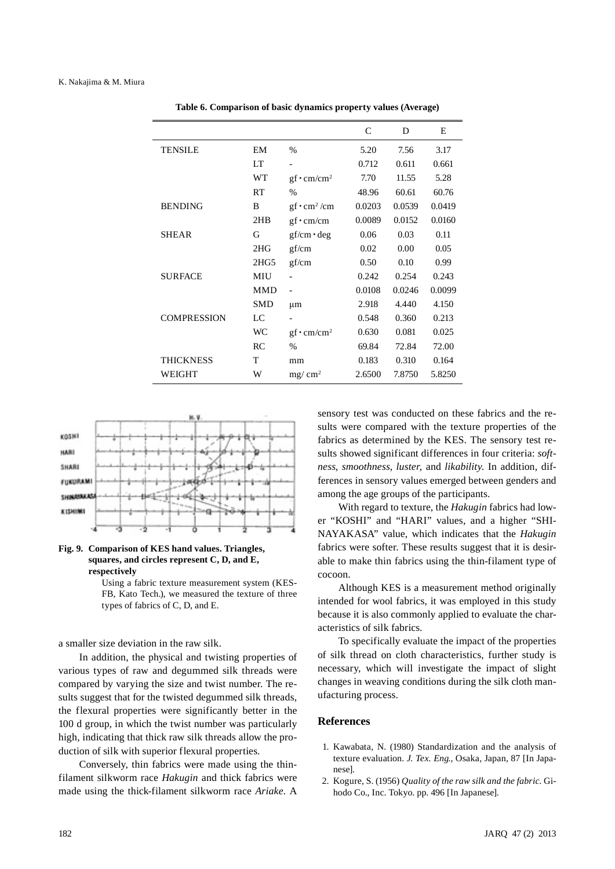|                    |            |                     | $\mathsf{C}$ | D      | E      |
|--------------------|------------|---------------------|--------------|--------|--------|
| <b>TENSILE</b>     | EM         | %                   | 5.20         | 7.56   | 3.17   |
|                    | LT         |                     | 0.712        | 0.611  | 0.661  |
|                    | <b>WT</b>  | $gf \cdot cm/cm^2$  | 7.70         | 11.55  | 5.28   |
|                    | RT         | $\%$                | 48.96        | 60.61  | 60.76  |
| <b>BENDING</b>     | B          | $gf \cdot cm^2$ /cm | 0.0203       | 0.0539 | 0.0419 |
|                    | 2HB        | $gf \cdot cm/cm$    | 0.0089       | 0.0152 | 0.0160 |
| SHEAR              | G          | $gf/cm \cdot deg$   | 0.06         | 0.03   | 0.11   |
|                    | 2HG        | gf/cm               | 0.02         | 0.00   | 0.05   |
|                    | 2HG5       | gf/cm               | 0.50         | 0.10   | 0.99   |
| <b>SURFACE</b>     | MIU        |                     | 0.242        | 0.254  | 0.243  |
|                    | <b>MMD</b> |                     | 0.0108       | 0.0246 | 0.0099 |
|                    | <b>SMD</b> | μm                  | 2.918        | 4.440  | 4.150  |
| <b>COMPRESSION</b> | LC         |                     | 0.548        | 0.360  | 0.213  |
|                    | <b>WC</b>  | $gf \cdot cm/cm^2$  | 0.630        | 0.081  | 0.025  |
|                    | RC         | $\%$                | 69.84        | 72.84  | 72.00  |
| <b>THICKNESS</b>   | T          | mm                  | 0.183        | 0.310  | 0.164  |
| WEIGHT             | W          | $mg/cm^2$           | 2.6500       | 7.8750 | 5.8250 |

**Table 6. Comparison of basic dynamics property values (Average)**





Using a fabric texture measurement system (KES-FB, Kato Tech.), we measured the texture of three types of fabrics of C, D, and E.

a smaller size deviation in the raw silk.

In addition, the physical and twisting properties of various types of raw and degummed silk threads were compared by varying the size and twist number. The results suggest that for the twisted degummed silk threads, the flexural properties were significantly better in the 100 d group, in which the twist number was particularly high, indicating that thick raw silk threads allow the production of silk with superior flexural properties.

Conversely, thin fabrics were made using the thinfilament silkworm race *Hakugin* and thick fabrics were made using the thick-filament silkworm race *Ariake*. A sensory test was conducted on these fabrics and the results were compared with the texture properties of the fabrics as determined by the KES. The sensory test results showed significant differences in four criteria: *softness*, *smoothness*, *luster*, and *likability*. In addition, differences in sensory values emerged between genders and among the age groups of the participants.

With regard to texture, the *Hakugin* fabrics had lower "KOSHI" and "HARI" values, and a higher "SHI-NAYAKASA" value, which indicates that the *Hakugin* fabrics were softer. These results suggest that it is desirable to make thin fabrics using the thin-filament type of cocoon.

Although KES is a measurement method originally intended for wool fabrics, it was employed in this study because it is also commonly applied to evaluate the characteristics of silk fabrics.

To specifically evaluate the impact of the properties of silk thread on cloth characteristics, further study is necessary, which will investigate the impact of slight changes in weaving conditions during the silk cloth manufacturing process.

#### **References**

- 1. Kawabata, N. (1980) Standardization and the analysis of texture evaluation. *J. Tex. Eng.*, Osaka, Japan, 87 [In Japanese].
- 2. Kogure, S. (1956) *Quality of the raw silk and the fabric*. Gihodo Co., Inc. Tokyo. pp. 496 [In Japanese].